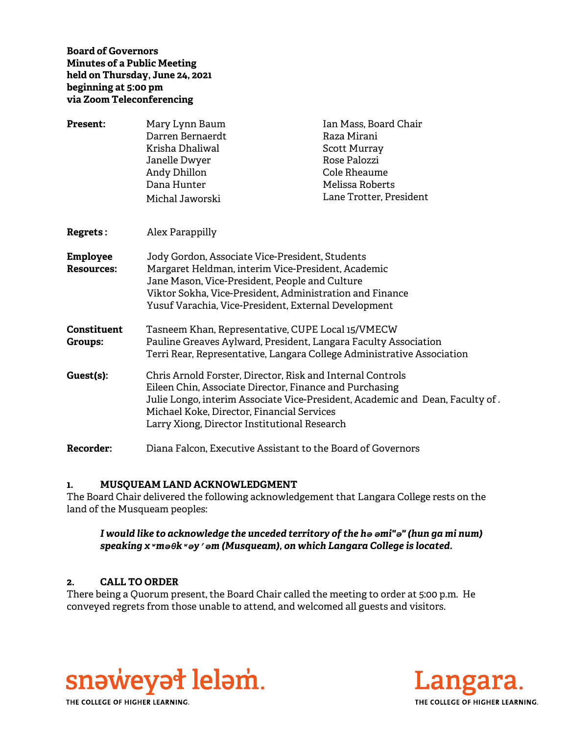**Board of Governors Minutes of a Public Meeting held on Thursday, June 24, 2021 beginning at 5:00 pm via Zoom Teleconferencing** 

| <b>Present:</b>               | Mary Lynn Baum<br>Darren Bernaerdt<br>Krisha Dhaliwal<br>Janelle Dwyer<br>Andy Dhillon<br>Dana Hunter<br>Michal Jaworski                                                                                                                                                                                    | Ian Mass, Board Chair<br>Raza Mirani<br><b>Scott Murray</b><br>Rose Palozzi<br>Cole Rheaume<br>Melissa Roberts<br>Lane Trotter, President |
|-------------------------------|-------------------------------------------------------------------------------------------------------------------------------------------------------------------------------------------------------------------------------------------------------------------------------------------------------------|-------------------------------------------------------------------------------------------------------------------------------------------|
| <b>Regrets :</b>              | Alex Parappilly                                                                                                                                                                                                                                                                                             |                                                                                                                                           |
| Employee<br><b>Resources:</b> | Jody Gordon, Associate Vice-President, Students<br>Margaret Heldman, interim Vice-President, Academic<br>Jane Mason, Vice-President, People and Culture<br>Viktor Sokha, Vice-President, Administration and Finance<br>Yusuf Varachia, Vice-President, External Development                                 |                                                                                                                                           |
| Constituent<br>Groups:        | Tasneem Khan, Representative, CUPE Local 15/VMECW<br>Pauline Greaves Aylward, President, Langara Faculty Association<br>Terri Rear, Representative, Langara College Administrative Association                                                                                                              |                                                                                                                                           |
| Guest(s):                     | Chris Arnold Forster, Director, Risk and Internal Controls<br>Eileen Chin, Associate Director, Finance and Purchasing<br>Julie Longo, interim Associate Vice-President, Academic and Dean, Faculty of $\iota$<br>Michael Koke, Director, Financial Services<br>Larry Xiong, Director Institutional Research |                                                                                                                                           |
| <b>Recorder:</b>              | Diana Falcon, Executive Assistant to the Board of Governors                                                                                                                                                                                                                                                 |                                                                                                                                           |

### **1. MUSQUEAM LAND ACKNOWLEDGMENT**

The Board Chair delivered the following acknowledgement that Langara College rests on the land of the Musqueam peoples:

*I would like to acknowledge the unceded territory of the hә әmi"ә" (hun ga mi num) speaking xʷmәθkʷәy̓әm (Musqueam), on which Langara College is located.*

### **2. CALL TO ORDER**

There being a Quorum present, the Board Chair called the meeting to order at 5:00 p.m. He conveyed regrets from those unable to attend, and welcomed all guests and visitors.



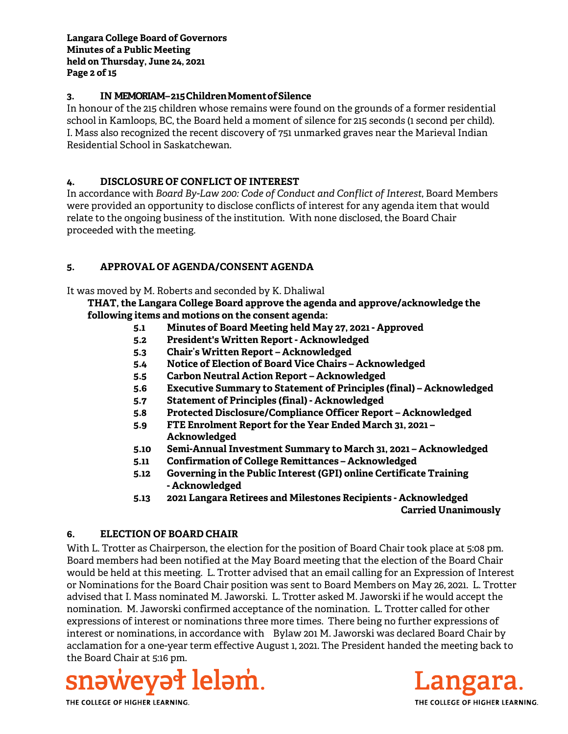### **3. IN MEMORIAM – 215 Children Moment of Silence**

In honour of the 215 children whose remains were found on the grounds of a former residential school in Kamloops, BC, the Board held a moment of silence for 215 seconds (1 second per child). I. Mass also recognized the recent discovery of 751 unmarked graves near the Marieval Indian Residential School in Saskatchewan.

### **4. DISCLOSURE OF CONFLICT OF INTEREST**

In accordance with *Board By-Law 200: Code of Conduct and Conflict of Interest*, Board Members were provided an opportunity to disclose conflicts of interest for any agenda item that would relate to the ongoing business of the institution. With none disclosed, the Board Chair proceeded with the meeting.

### **5. APPROVAL OF AGENDA/CONSENT AGENDA**

It was moved by M. Roberts and seconded by K. Dhaliwal

**THAT, the Langara College Board approve the agenda and approve/acknowledge the following items and motions on the consent agenda:**

- **5.1 Minutes of Board Meeting held May 27, 2021 Approved**
- **5.2 President's Written Report Acknowledged**
- **5.3 Chair's Written Report Acknowledged**
- **5.4 Notice of Election of Board Vice Chairs Acknowledged**
- **5.5 Carbon Neutral Action Report Acknowledged**
- **5.6 Executive Summary to Statement of Principles (final) Acknowledged**
- **5.7 Statement of Principles (final) Acknowledged**
- **5.8 Protected Disclosure/Compliance Officer Report Acknowledged**
- **5.9 FTE Enrolment Report for the Year Ended March 31, 2021 Acknowledged**
- **5.10 Semi-Annual Investment Summary to March 31, 2021 Acknowledged**
- **5.11 Confirmation of College Remittances Acknowledged**
- **5.12 Governing in the Public Interest (GPI) online Certificate Training - Acknowledged**
- **5.13 2021 Langara Retirees and Milestones Recipients Acknowledged Carried Unanimously**

## **6. ELECTION OF BOARD CHAIR**

With L. Trotter as Chairperson, the election for the position of Board Chair took place at 5:08 pm. Board members had been notified at the May Board meeting that the election of the Board Chair would be held at this meeting. L. Trotter advised that an email calling for an Expression of Interest or Nominations for the Board Chair position was sent to Board Members on May 26, 2021. L. Trotter advised that I. Mass nominated M. Jaworski. L. Trotter asked M. Jaworski if he would accept the nomination. M. Jaworski confirmed acceptance of the nomination. L. Trotter called for other expressions of interest or nominations three more times. There being no further expressions of interest or nominations, in accordance with Bylaw 201 M. Jaworski was declared Board Chair by acclamation for a one-year term effective August 1, 2021. The President handed the meeting back to the Board Chair at 5:16 pm.



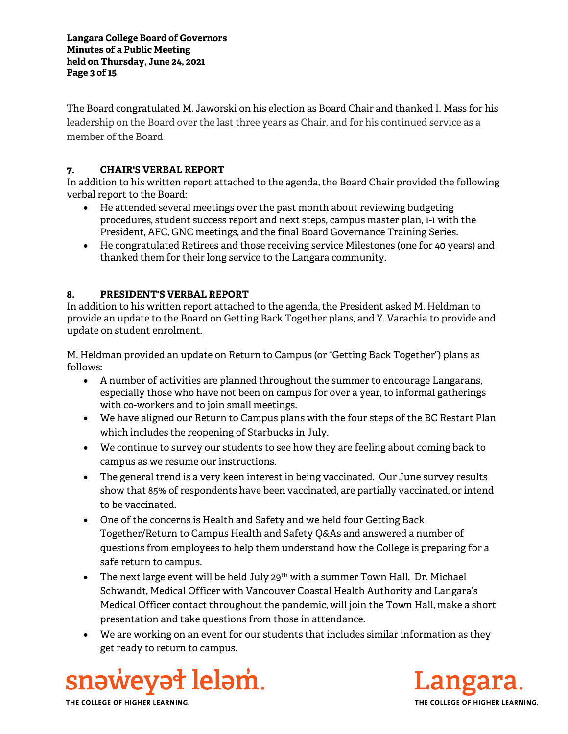The Board congratulated M. Jaworski on his election as Board Chair and thanked I. Mass for his leadership on the Board over the last three years as Chair, and for his continued service as a member of the Board

## **7. CHAIR'S VERBAL REPORT**

In addition to his written report attached to the agenda, the Board Chair provided the following verbal report to the Board:

- He attended several meetings over the past month about reviewing budgeting procedures, student success report and next steps, campus master plan, 1-1 with the President, AFC, GNC meetings, and the final Board Governance Training Series.
- He congratulated Retirees and those receiving service Milestones (one for 40 years) and thanked them for their long service to the Langara community.

## **8. PRESIDENT'S VERBAL REPORT**

In addition to his written report attached to the agenda, the President asked M. Heldman to provide an update to the Board on Getting Back Together plans, and Y. Varachia to provide and update on student enrolment.

M. Heldman provided an update on Return to Campus (or "Getting Back Together") plans as follows:

- A number of activities are planned throughout the summer to encourage Langarans, especially those who have not been on campus for over a year, to informal gatherings with co-workers and to join small meetings.
- We have aligned our Return to Campus plans with the four steps of the BC Restart Plan which includes the reopening of Starbucks in July.
- We continue to survey our students to see how they are feeling about coming back to campus as we resume our instructions.
- The general trend is a very keen interest in being vaccinated. Our June survey results show that 85% of respondents have been vaccinated, are partially vaccinated, or intend to be vaccinated.
- One of the concerns is Health and Safety and we held four Getting Back Together/Return to Campus Health and Safety Q&As and answered a number of questions from employees to help them understand how the College is preparing for a safe return to campus.
- The next large event will be held July  $29^{th}$  with a summer Town Hall. Dr. Michael Schwandt, Medical Officer with Vancouver Coastal Health Authority and Langara's Medical Officer contact throughout the pandemic, will join the Town Hall, make a short presentation and take questions from those in attendance.
- We are working on an event for our students that includes similar information as they get ready to return to campus.



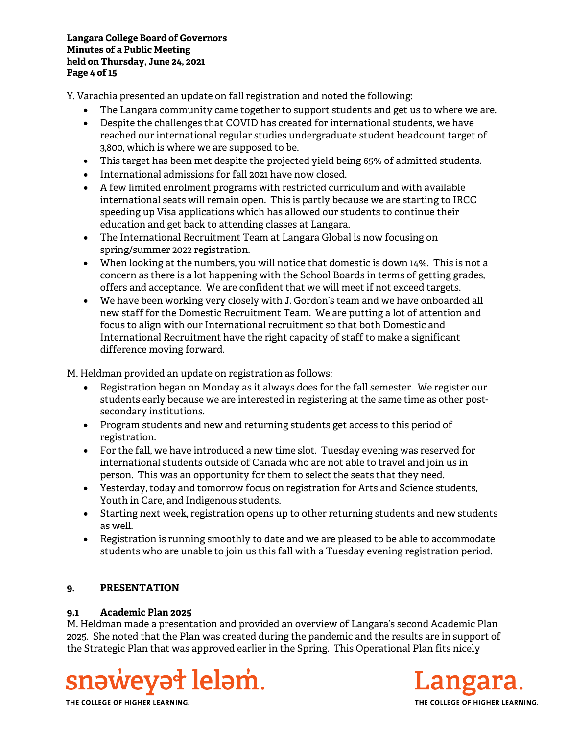#### **Langara College Board of Governors Minutes of a Public Meeting held on Thursday, June 24, 2021 Page 4 of 15**

Y. Varachia presented an update on fall registration and noted the following:

- The Langara community came together to support students and get us to where we are.
- Despite the challenges that COVID has created for international students, we have reached our international regular studies undergraduate student headcount target of 3,800, which is where we are supposed to be.
- This target has been met despite the projected yield being 65% of admitted students.
- International admissions for fall 2021 have now closed.
- A few limited enrolment programs with restricted curriculum and with available international seats will remain open. This is partly because we are starting to IRCC speeding up Visa applications which has allowed our students to continue their education and get back to attending classes at Langara.
- The International Recruitment Team at Langara Global is now focusing on spring/summer 2022 registration.
- When looking at the numbers, you will notice that domestic is down 14%. This is not a concern as there is a lot happening with the School Boards in terms of getting grades, offers and acceptance. We are confident that we will meet if not exceed targets.
- We have been working very closely with J. Gordon's team and we have onboarded all new staff for the Domestic Recruitment Team. We are putting a lot of attention and focus to align with our International recruitment so that both Domestic and International Recruitment have the right capacity of staff to make a significant difference moving forward.

M. Heldman provided an update on registration as follows:

- Registration began on Monday as it always does for the fall semester. We register our students early because we are interested in registering at the same time as other postsecondary institutions.
- Program students and new and returning students get access to this period of registration.
- For the fall, we have introduced a new time slot. Tuesday evening was reserved for international students outside of Canada who are not able to travel and join us in person. This was an opportunity for them to select the seats that they need.
- Yesterday, today and tomorrow focus on registration for Arts and Science students, Youth in Care, and Indigenous students.
- Starting next week, registration opens up to other returning students and new students as well.
- Registration is running smoothly to date and we are pleased to be able to accommodate students who are unable to join us this fall with a Tuesday evening registration period.

### **9. PRESENTATION**

### **9.1 Academic Plan 2025**

M. Heldman made a presentation and provided an overview of Langara's second Academic Plan 2025. She noted that the Plan was created during the pandemic and the results are in support of the Strategic Plan that was approved earlier in the Spring. This Operational Plan fits nicely



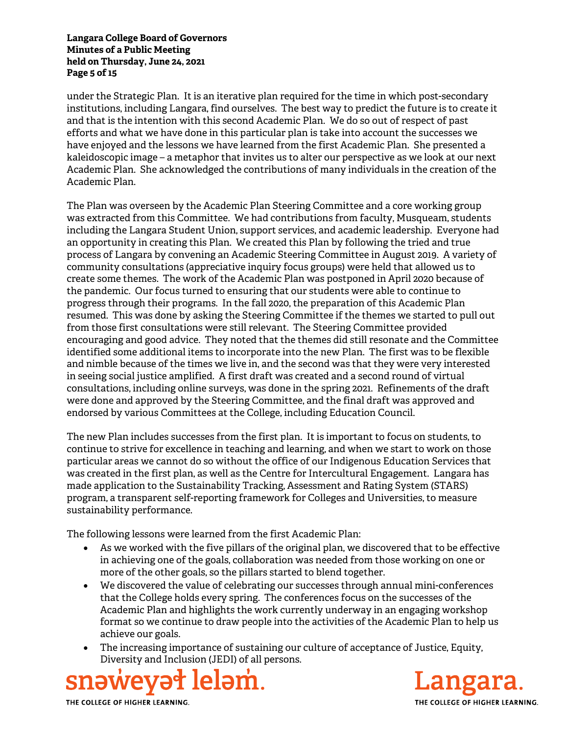#### **Langara College Board of Governors Minutes of a Public Meeting held on Thursday, June 24, 2021 Page 5 of 15**

under the Strategic Plan. It is an iterative plan required for the time in which post-secondary institutions, including Langara, find ourselves. The best way to predict the future is to create it and that is the intention with this second Academic Plan. We do so out of respect of past efforts and what we have done in this particular plan is take into account the successes we have enjoyed and the lessons we have learned from the first Academic Plan. She presented a kaleidoscopic image – a metaphor that invites us to alter our perspective as we look at our next Academic Plan. She acknowledged the contributions of many individuals in the creation of the Academic Plan.

The Plan was overseen by the Academic Plan Steering Committee and a core working group was extracted from this Committee. We had contributions from faculty, Musqueam, students including the Langara Student Union, support services, and academic leadership. Everyone had an opportunity in creating this Plan. We created this Plan by following the tried and true process of Langara by convening an Academic Steering Committee in August 2019. A variety of community consultations (appreciative inquiry focus groups) were held that allowed us to create some themes. The work of the Academic Plan was postponed in April 2020 because of the pandemic. Our focus turned to ensuring that our students were able to continue to progress through their programs. In the fall 2020, the preparation of this Academic Plan resumed. This was done by asking the Steering Committee if the themes we started to pull out from those first consultations were still relevant. The Steering Committee provided encouraging and good advice. They noted that the themes did still resonate and the Committee identified some additional items to incorporate into the new Plan. The first was to be flexible and nimble because of the times we live in, and the second was that they were very interested in seeing social justice amplified. A first draft was created and a second round of virtual consultations, including online surveys, was done in the spring 2021. Refinements of the draft were done and approved by the Steering Committee, and the final draft was approved and endorsed by various Committees at the College, including Education Council.

The new Plan includes successes from the first plan. It is important to focus on students, to continue to strive for excellence in teaching and learning, and when we start to work on those particular areas we cannot do so without the office of our Indigenous Education Services that was created in the first plan, as well as the Centre for Intercultural Engagement. Langara has made application to the Sustainability Tracking, Assessment and Rating System (STARS) program, a transparent self-reporting framework for Colleges and Universities, to measure sustainability performance.

The following lessons were learned from the first Academic Plan:

- As we worked with the five pillars of the original plan, we discovered that to be effective in achieving one of the goals, collaboration was needed from those working on one or more of the other goals, so the pillars started to blend together.
- We discovered the value of celebrating our successes through annual mini-conferences that the College holds every spring. The conferences focus on the successes of the Academic Plan and highlights the work currently underway in an engaging workshop format so we continue to draw people into the activities of the Academic Plan to help us achieve our goals.
- The increasing importance of sustaining our culture of acceptance of Justice, Equity, Diversity and Inclusion (JEDI) of all persons.



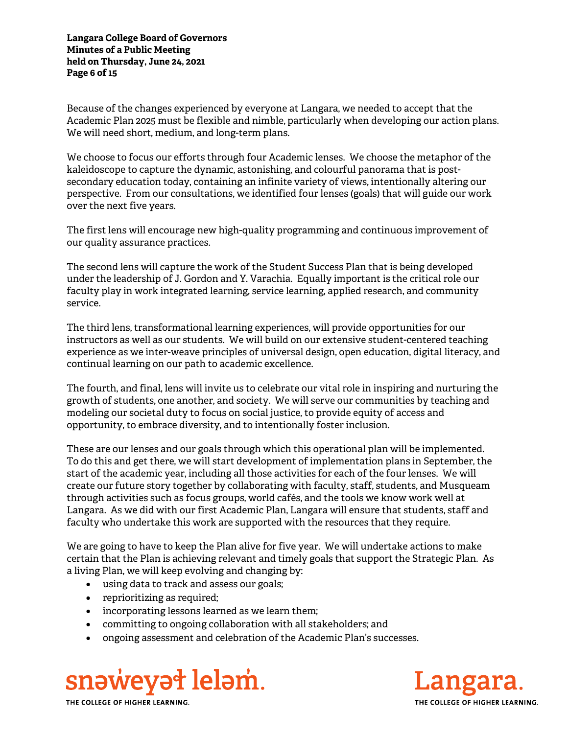**Langara College Board of Governors Minutes of a Public Meeting held on Thursday, June 24, 2021 Page 6 of 15** 

Because of the changes experienced by everyone at Langara, we needed to accept that the Academic Plan 2025 must be flexible and nimble, particularly when developing our action plans. We will need short, medium, and long-term plans.

We choose to focus our efforts through four Academic lenses. We choose the metaphor of the kaleidoscope to capture the dynamic, astonishing, and colourful panorama that is postsecondary education today, containing an infinite variety of views, intentionally altering our perspective. From our consultations, we identified four lenses (goals) that will guide our work over the next five years.

The first lens will encourage new high-quality programming and continuous improvement of our quality assurance practices.

The second lens will capture the work of the Student Success Plan that is being developed under the leadership of J. Gordon and Y. Varachia. Equally important is the critical role our faculty play in work integrated learning, service learning, applied research, and community service.

The third lens, transformational learning experiences, will provide opportunities for our instructors as well as our students. We will build on our extensive student-centered teaching experience as we inter-weave principles of universal design, open education, digital literacy, and continual learning on our path to academic excellence.

The fourth, and final, lens will invite us to celebrate our vital role in inspiring and nurturing the growth of students, one another, and society. We will serve our communities by teaching and modeling our societal duty to focus on social justice, to provide equity of access and opportunity, to embrace diversity, and to intentionally foster inclusion.

These are our lenses and our goals through which this operational plan will be implemented. To do this and get there, we will start development of implementation plans in September, the start of the academic year, including all those activities for each of the four lenses. We will create our future story together by collaborating with faculty, staff, students, and Musqueam through activities such as focus groups, world cafés, and the tools we know work well at Langara. As we did with our first Academic Plan, Langara will ensure that students, staff and faculty who undertake this work are supported with the resources that they require.

We are going to have to keep the Plan alive for five year. We will undertake actions to make certain that the Plan is achieving relevant and timely goals that support the Strategic Plan. As a living Plan, we will keep evolving and changing by:

- using data to track and assess our goals;
- reprioritizing as required;
- incorporating lessons learned as we learn them;
- committing to ongoing collaboration with all stakeholders; and
- ongoing assessment and celebration of the Academic Plan's successes.



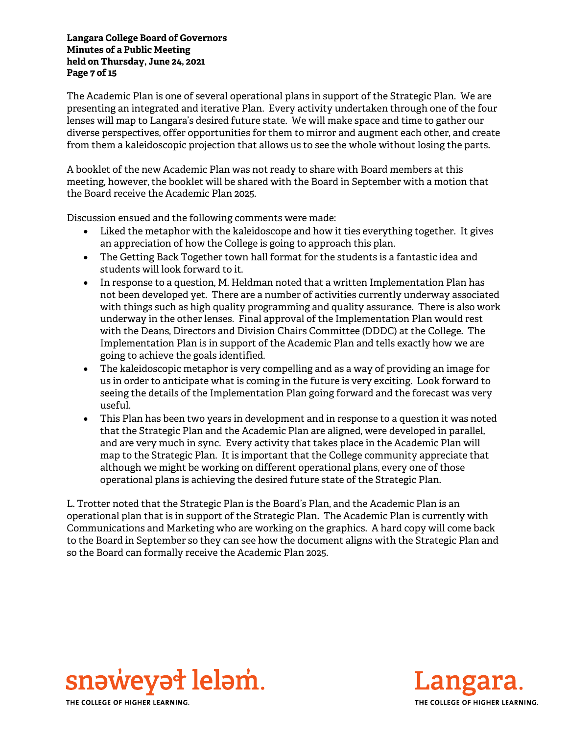#### **Langara College Board of Governors Minutes of a Public Meeting held on Thursday, June 24, 2021 Page 7 of 15**

The Academic Plan is one of several operational plans in support of the Strategic Plan. We are presenting an integrated and iterative Plan. Every activity undertaken through one of the four lenses will map to Langara's desired future state. We will make space and time to gather our diverse perspectives, offer opportunities for them to mirror and augment each other, and create from them a kaleidoscopic projection that allows us to see the whole without losing the parts.

A booklet of the new Academic Plan was not ready to share with Board members at this meeting, however, the booklet will be shared with the Board in September with a motion that the Board receive the Academic Plan 2025.

Discussion ensued and the following comments were made:

- Liked the metaphor with the kaleidoscope and how it ties everything together. It gives an appreciation of how the College is going to approach this plan.
- The Getting Back Together town hall format for the students is a fantastic idea and students will look forward to it.
- In response to a question, M. Heldman noted that a written Implementation Plan has not been developed yet. There are a number of activities currently underway associated with things such as high quality programming and quality assurance. There is also work underway in the other lenses. Final approval of the Implementation Plan would rest with the Deans, Directors and Division Chairs Committee (DDDC) at the College. The Implementation Plan is in support of the Academic Plan and tells exactly how we are going to achieve the goals identified.
- The kaleidoscopic metaphor is very compelling and as a way of providing an image for us in order to anticipate what is coming in the future is very exciting. Look forward to seeing the details of the Implementation Plan going forward and the forecast was very useful.
- This Plan has been two years in development and in response to a question it was noted that the Strategic Plan and the Academic Plan are aligned, were developed in parallel, and are very much in sync. Every activity that takes place in the Academic Plan will map to the Strategic Plan. It is important that the College community appreciate that although we might be working on different operational plans, every one of those operational plans is achieving the desired future state of the Strategic Plan.

L. Trotter noted that the Strategic Plan is the Board's Plan, and the Academic Plan is an operational plan that is in support of the Strategic Plan. The Academic Plan is currently with Communications and Marketing who are working on the graphics. A hard copy will come back to the Board in September so they can see how the document aligns with the Strategic Plan and so the Board can formally receive the Academic Plan 2025.



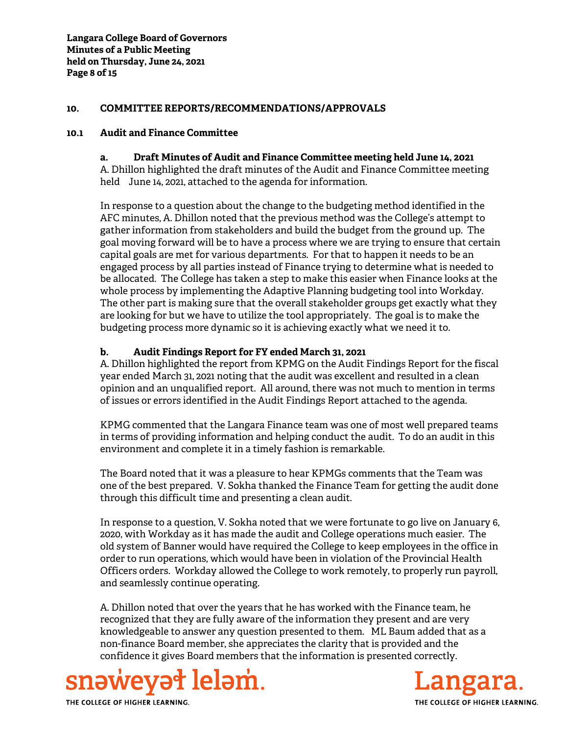#### **10. COMMITTEE REPORTS/RECOMMENDATIONS/APPROVALS**

#### **10.1 Audit and Finance Committee**

#### **a. Draft Minutes of Audit and Finance Committee meeting held June 14, 2021**

A. Dhillon highlighted the draft minutes of the Audit and Finance Committee meeting held June 14, 2021, attached to the agenda for information.

In response to a question about the change to the budgeting method identified in the AFC minutes, A. Dhillon noted that the previous method was the College's attempt to gather information from stakeholders and build the budget from the ground up. The goal moving forward will be to have a process where we are trying to ensure that certain capital goals are met for various departments. For that to happen it needs to be an engaged process by all parties instead of Finance trying to determine what is needed to be allocated. The College has taken a step to make this easier when Finance looks at the whole process by implementing the Adaptive Planning budgeting tool into Workday. The other part is making sure that the overall stakeholder groups get exactly what they are looking for but we have to utilize the tool appropriately. The goal is to make the budgeting process more dynamic so it is achieving exactly what we need it to.

#### **b. Audit Findings Report for FY ended March 31, 2021**

A. Dhillon highlighted the report from KPMG on the Audit Findings Report for the fiscal year ended March 31, 2021 noting that the audit was excellent and resulted in a clean opinion and an unqualified report. All around, there was not much to mention in terms of issues or errors identified in the Audit Findings Report attached to the agenda.

KPMG commented that the Langara Finance team was one of most well prepared teams in terms of providing information and helping conduct the audit. To do an audit in this environment and complete it in a timely fashion is remarkable.

The Board noted that it was a pleasure to hear KPMGs comments that the Team was one of the best prepared. V. Sokha thanked the Finance Team for getting the audit done through this difficult time and presenting a clean audit.

In response to a question, V. Sokha noted that we were fortunate to go live on January 6, 2020, with Workday as it has made the audit and College operations much easier. The old system of Banner would have required the College to keep employees in the office in order to run operations, which would have been in violation of the Provincial Health Officers orders. Workday allowed the College to work remotely, to properly run payroll, and seamlessly continue operating.

A. Dhillon noted that over the years that he has worked with the Finance team, he recognized that they are fully aware of the information they present and are very knowledgeable to answer any question presented to them. ML Baum added that as a non-finance Board member, she appreciates the clarity that is provided and the confidence it gives Board members that the information is presented correctly.



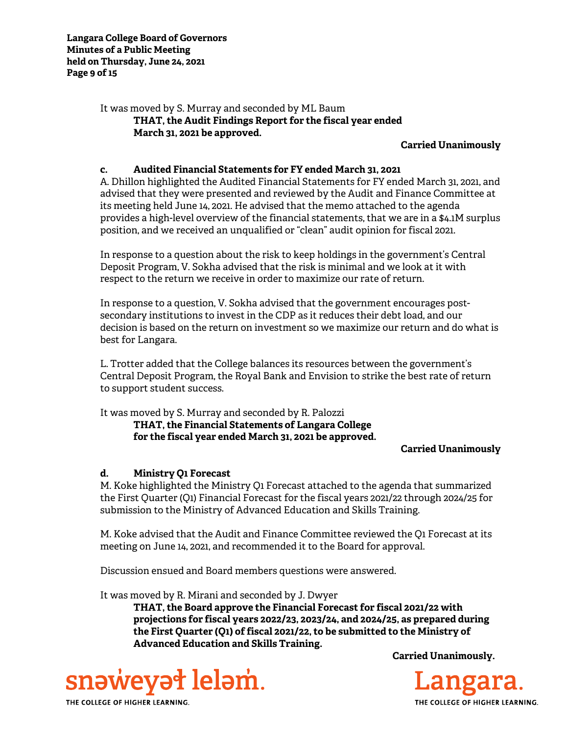It was moved by S. Murray and seconded by ML Baum **THAT, the Audit Findings Report for the fiscal year ended March 31, 2021 be approved.** 

**Carried Unanimously**

#### **c. Audited Financial Statements for FY ended March 31, 2021**

A. Dhillon highlighted the Audited Financial Statements for FY ended March 31, 2021, and advised that they were presented and reviewed by the Audit and Finance Committee at its meeting held June 14, 2021. He advised that the memo attached to the agenda provides a high-level overview of the financial statements, that we are in a \$4.1M surplus position, and we received an unqualified or "clean" audit opinion for fiscal 2021.

In response to a question about the risk to keep holdings in the government's Central Deposit Program, V. Sokha advised that the risk is minimal and we look at it with respect to the return we receive in order to maximize our rate of return.

In response to a question, V. Sokha advised that the government encourages postsecondary institutions to invest in the CDP as it reduces their debt load, and our decision is based on the return on investment so we maximize our return and do what is best for Langara.

L. Trotter added that the College balances its resources between the government's Central Deposit Program, the Royal Bank and Envision to strike the best rate of return to support student success.

It was moved by S. Murray and seconded by R. Palozzi

**THAT, the Financial Statements of Langara College for the fiscal year ended March 31, 2021 be approved.** 

**Carried Unanimously**

### **d. Ministry Q1 Forecast**

M. Koke highlighted the Ministry Q1 Forecast attached to the agenda that summarized the First Quarter (Q1) Financial Forecast for the fiscal years 2021/22 through 2024/25 for submission to the Ministry of Advanced Education and Skills Training.

M. Koke advised that the Audit and Finance Committee reviewed the Q1 Forecast at its meeting on June 14, 2021, and recommended it to the Board for approval.

Discussion ensued and Board members questions were answered.

It was moved by R. Mirani and seconded by J. Dwyer

**THAT, the Board approve the Financial Forecast for fiscal 2021/22 with projections for fiscal years 2022/23, 2023/24, and 2024/25, as prepared during the First Quarter (Q1) of fiscal 2021/22, to be submitted to the Ministry of Advanced Education and Skills Training.** 





THE COLLEGE OF HIGHER LEARNING.

snəweyət leləm.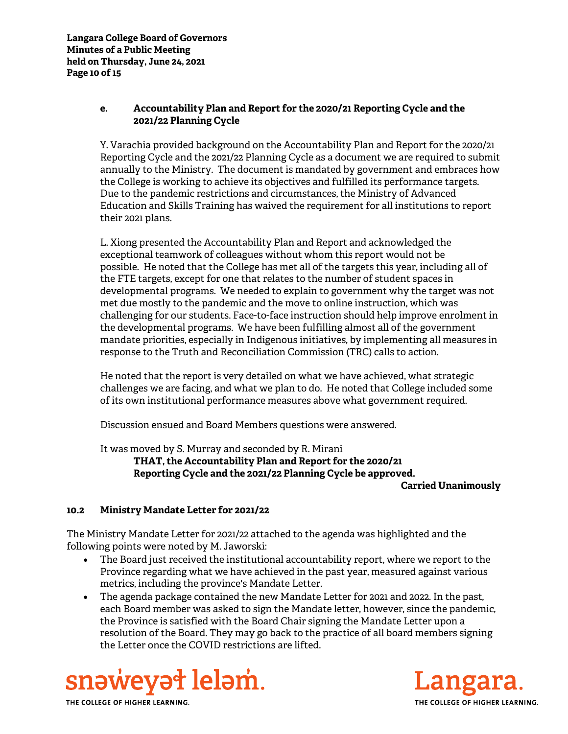### **e. Accountability Plan and Report for the 2020/21 Reporting Cycle and the 2021/22 Planning Cycle**

Y. Varachia provided background on the Accountability Plan and Report for the 2020/21 Reporting Cycle and the 2021/22 Planning Cycle as a document we are required to submit annually to the Ministry. The document is mandated by government and embraces how the College is working to achieve its objectives and fulfilled its performance targets. Due to the pandemic restrictions and circumstances, the Ministry of Advanced Education and Skills Training has waived the requirement for all institutions to report their 2021 plans.

L. Xiong presented the Accountability Plan and Report and acknowledged the exceptional teamwork of colleagues without whom this report would not be possible. He noted that the College has met all of the targets this year, including all of the FTE targets, except for one that relates to the number of student spaces in developmental programs. We needed to explain to government why the target was not met due mostly to the pandemic and the move to online instruction, which was challenging for our students. Face-to-face instruction should help improve enrolment in the developmental programs. We have been fulfilling almost all of the government mandate priorities, especially in Indigenous initiatives, by implementing all measures in response to the Truth and Reconciliation Commission (TRC) calls to action.

He noted that the report is very detailed on what we have achieved, what strategic challenges we are facing, and what we plan to do. He noted that College included some of its own institutional performance measures above what government required.

Discussion ensued and Board Members questions were answered.

It was moved by S. Murray and seconded by R. Mirani

**THAT, the Accountability Plan and Report for the 2020/21 Reporting Cycle and the 2021/22 Planning Cycle be approved.** 

**Carried Unanimously**

## **10.2 Ministry Mandate Letter for 2021/22**

The Ministry Mandate Letter for 2021/22 attached to the agenda was highlighted and the following points were noted by M. Jaworski:

- The Board just received the institutional accountability report, where we report to the Province regarding what we have achieved in the past year, measured against various metrics, including the province's Mandate Letter.
- The agenda package contained the new Mandate Letter for 2021 and 2022. In the past, each Board member was asked to sign the Mandate letter, however, since the pandemic, the Province is satisfied with the Board Chair signing the Mandate Letter upon a resolution of the Board. They may go back to the practice of all board members signing the Letter once the COVID restrictions are lifted.



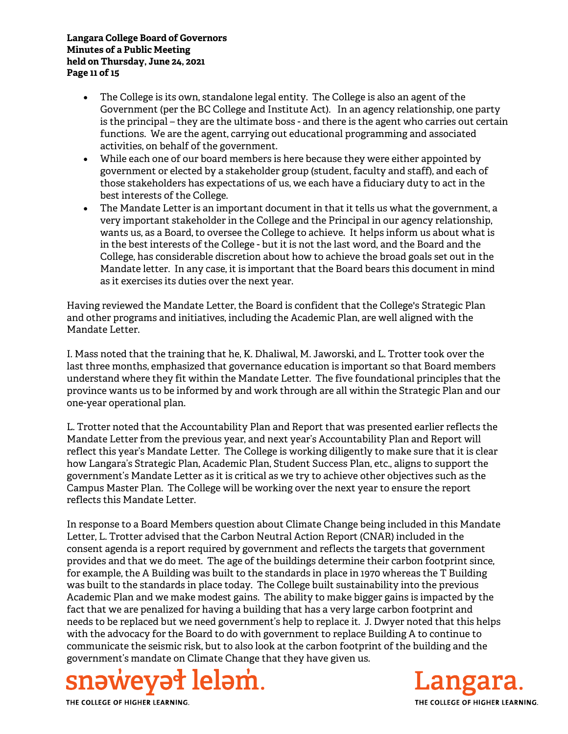#### **Langara College Board of Governors Minutes of a Public Meeting held on Thursday, June 24, 2021 Page 11 of 15**

- The College is its own, standalone legal entity. The College is also an agent of the Government (per the BC College and Institute Act). In an agency relationship, one party is the principal – they are the ultimate boss - and there is the agent who carries out certain functions. We are the agent, carrying out educational programming and associated activities, on behalf of the government.
- While each one of our board members is here because they were either appointed by government or elected by a stakeholder group (student, faculty and staff), and each of those stakeholders has expectations of us, we each have a fiduciary duty to act in the best interests of the College.
- The Mandate Letter is an important document in that it tells us what the government, a very important stakeholder in the College and the Principal in our agency relationship, wants us, as a Board, to oversee the College to achieve. It helps inform us about what is in the best interests of the College - but it is not the last word, and the Board and the College, has considerable discretion about how to achieve the broad goals set out in the Mandate letter. In any case, it is important that the Board bears this document in mind as it exercises its duties over the next year.

Having reviewed the Mandate Letter, the Board is confident that the College's Strategic Plan and other programs and initiatives, including the Academic Plan, are well aligned with the Mandate Letter.

I. Mass noted that the training that he, K. Dhaliwal, M. Jaworski, and L. Trotter took over the last three months, emphasized that governance education is important so that Board members understand where they fit within the Mandate Letter. The five foundational principles that the province wants us to be informed by and work through are all within the Strategic Plan and our one-year operational plan.

L. Trotter noted that the Accountability Plan and Report that was presented earlier reflects the Mandate Letter from the previous year, and next year's Accountability Plan and Report will reflect this year's Mandate Letter. The College is working diligently to make sure that it is clear how Langara's Strategic Plan, Academic Plan, Student Success Plan, etc., aligns to support the government's Mandate Letter as it is critical as we try to achieve other objectives such as the Campus Master Plan. The College will be working over the next year to ensure the report reflects this Mandate Letter.

In response to a Board Members question about Climate Change being included in this Mandate Letter, L. Trotter advised that the Carbon Neutral Action Report (CNAR) included in the consent agenda is a report required by government and reflects the targets that government provides and that we do meet. The age of the buildings determine their carbon footprint since, for example, the A Building was built to the standards in place in 1970 whereas the T Building was built to the standards in place today. The College built sustainability into the previous Academic Plan and we make modest gains. The ability to make bigger gains is impacted by the fact that we are penalized for having a building that has a very large carbon footprint and needs to be replaced but we need government's help to replace it. J. Dwyer noted that this helps with the advocacy for the Board to do with government to replace Building A to continue to communicate the seismic risk, but to also look at the carbon footprint of the building and the government's mandate on Climate Change that they have given us.



THE COLLEGE OF HIGHER LEARNING.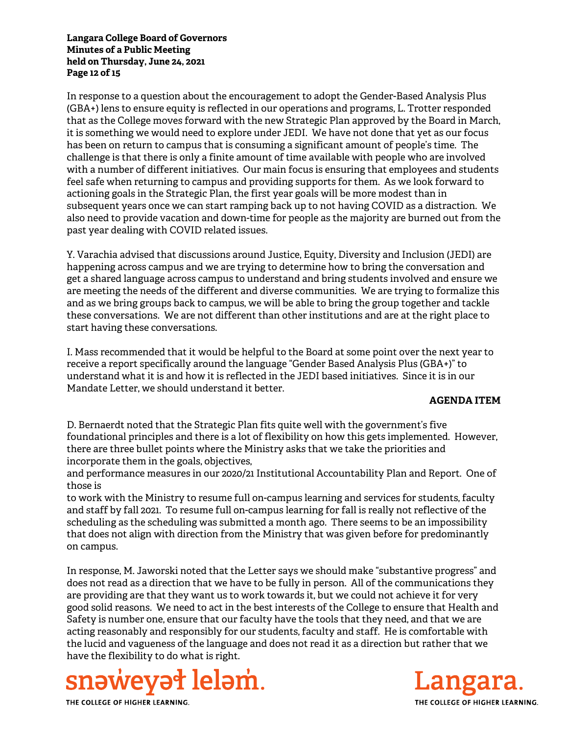#### **Langara College Board of Governors Minutes of a Public Meeting held on Thursday, June 24, 2021 Page 12 of 15**

In response to a question about the encouragement to adopt the Gender-Based Analysis Plus (GBA+) lens to ensure equity is reflected in our operations and programs, L. Trotter responded that as the College moves forward with the new Strategic Plan approved by the Board in March, it is something we would need to explore under JEDI. We have not done that yet as our focus has been on return to campus that is consuming a significant amount of people's time. The challenge is that there is only a finite amount of time available with people who are involved with a number of different initiatives. Our main focus is ensuring that employees and students feel safe when returning to campus and providing supports for them. As we look forward to actioning goals in the Strategic Plan, the first year goals will be more modest than in subsequent years once we can start ramping back up to not having COVID as a distraction. We also need to provide vacation and down-time for people as the majority are burned out from the past year dealing with COVID related issues.

Y. Varachia advised that discussions around Justice, Equity, Diversity and Inclusion (JEDI) are happening across campus and we are trying to determine how to bring the conversation and get a shared language across campus to understand and bring students involved and ensure we are meeting the needs of the different and diverse communities. We are trying to formalize this and as we bring groups back to campus, we will be able to bring the group together and tackle these conversations. We are not different than other institutions and are at the right place to start having these conversations.

I. Mass recommended that it would be helpful to the Board at some point over the next year to receive a report specifically around the language "Gender Based Analysis Plus (GBA+)" to understand what it is and how it is reflected in the JEDI based initiatives. Since it is in our Mandate Letter, we should understand it better.

### **AGENDA ITEM**

D. Bernaerdt noted that the Strategic Plan fits quite well with the government's five foundational principles and there is a lot of flexibility on how this gets implemented. However, there are three bullet points where the Ministry asks that we take the priorities and incorporate them in the goals, objectives,

and performance measures in our 2020/21 Institutional Accountability Plan and Report. One of those is

to work with the Ministry to resume full on-campus learning and services for students, faculty and staff by fall 2021. To resume full on-campus learning for fall is really not reflective of the scheduling as the scheduling was submitted a month ago. There seems to be an impossibility that does not align with direction from the Ministry that was given before for predominantly on campus.

In response, M. Jaworski noted that the Letter says we should make "substantive progress" and does not read as a direction that we have to be fully in person. All of the communications they are providing are that they want us to work towards it, but we could not achieve it for very good solid reasons. We need to act in the best interests of the College to ensure that Health and Safety is number one, ensure that our faculty have the tools that they need, and that we are acting reasonably and responsibly for our students, faculty and staff. He is comfortable with the lucid and vagueness of the language and does not read it as a direction but rather that we have the flexibility to do what is right.



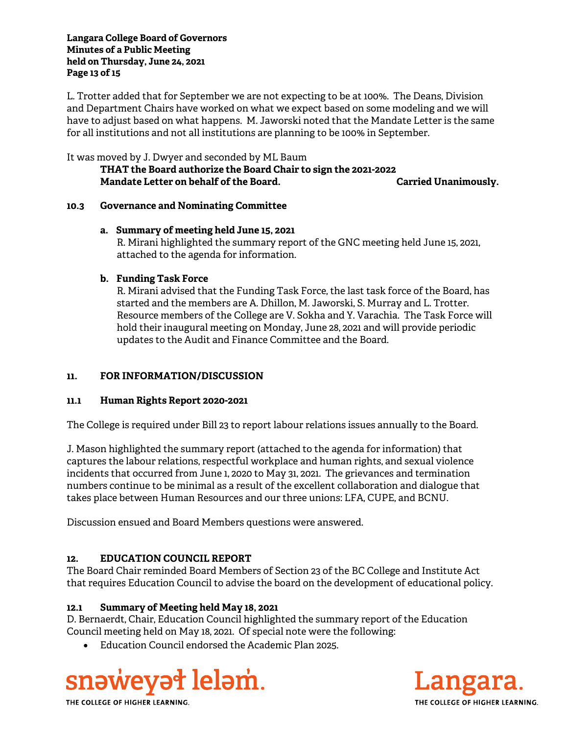#### **Langara College Board of Governors Minutes of a Public Meeting held on Thursday, June 24, 2021 Page 13 of 15**

L. Trotter added that for September we are not expecting to be at 100%. The Deans, Division and Department Chairs have worked on what we expect based on some modeling and we will have to adjust based on what happens. M. Jaworski noted that the Mandate Letter is the same for all institutions and not all institutions are planning to be 100% in September.

It was moved by J. Dwyer and seconded by ML Baum

**THAT the Board authorize the Board Chair to sign the 2021-2022 Mandate Letter on behalf of the Board. Carried Unanimously.** 

### **10.3 Governance and Nominating Committee**

#### **a. Summary of meeting held June 15, 2021**

R. Mirani highlighted the summary report of the GNC meeting held June 15, 2021, attached to the agenda for information.

### **b. Funding Task Force**

R. Mirani advised that the Funding Task Force, the last task force of the Board, has started and the members are A. Dhillon, M. Jaworski, S. Murray and L. Trotter. Resource members of the College are V. Sokha and Y. Varachia. The Task Force will hold their inaugural meeting on Monday, June 28, 2021 and will provide periodic updates to the Audit and Finance Committee and the Board.

## **11. FOR INFORMATION/DISCUSSION**

### **11.1 Human Rights Report 2020-2021**

The College is required under Bill 23 to report labour relations issues annually to the Board.

J. Mason highlighted the summary report (attached to the agenda for information) that captures the labour relations, respectful workplace and human rights, and sexual violence incidents that occurred from June 1, 2020 to May 31, 2021. The grievances and termination numbers continue to be minimal as a result of the excellent collaboration and dialogue that takes place between Human Resources and our three unions: LFA, CUPE, and BCNU.

Discussion ensued and Board Members questions were answered.

### **12. EDUCATION COUNCIL REPORT**

The Board Chair reminded Board Members of Section 23 of the BC College and Institute Act that requires Education Council to advise the board on the development of educational policy.

### **12.1 Summary of Meeting held May 18, 2021**

D. Bernaerdt, Chair, Education Council highlighted the summary report of the Education Council meeting held on May 18, 2021. Of special note were the following:

Education Council endorsed the Academic Plan 2025.



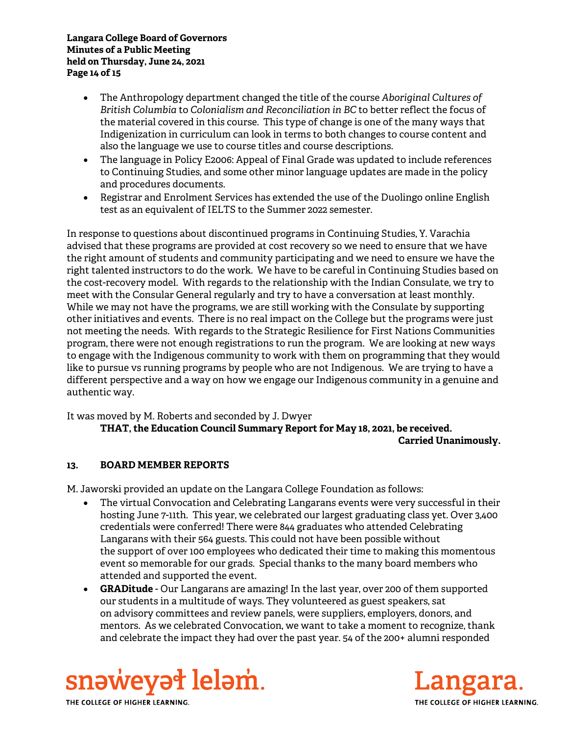#### **Langara College Board of Governors Minutes of a Public Meeting held on Thursday, June 24, 2021 Page 14 of 15**

- The Anthropology department changed the title of the course *Aboriginal Cultures of British Columbia* to *Colonialism and Reconciliation in BC* to better reflect the focus of the material covered in this course. This type of change is one of the many ways that Indigenization in curriculum can look in terms to both changes to course content and also the language we use to course titles and course descriptions.
- The language in Policy E2006: Appeal of Final Grade was updated to include references to Continuing Studies, and some other minor language updates are made in the policy and procedures documents.
- Registrar and Enrolment Services has extended the use of the Duolingo online English test as an equivalent of IELTS to the Summer 2022 semester.

In response to questions about discontinued programs in Continuing Studies, Y. Varachia advised that these programs are provided at cost recovery so we need to ensure that we have the right amount of students and community participating and we need to ensure we have the right talented instructors to do the work. We have to be careful in Continuing Studies based on the cost-recovery model. With regards to the relationship with the Indian Consulate, we try to meet with the Consular General regularly and try to have a conversation at least monthly. While we may not have the programs, we are still working with the Consulate by supporting other initiatives and events. There is no real impact on the College but the programs were just not meeting the needs. With regards to the Strategic Resilience for First Nations Communities program, there were not enough registrations to run the program. We are looking at new ways to engage with the Indigenous community to work with them on programming that they would like to pursue vs running programs by people who are not Indigenous. We are trying to have a different perspective and a way on how we engage our Indigenous community in a genuine and authentic way.

It was moved by M. Roberts and seconded by J. Dwyer  **THAT, the Education Council Summary Report for May 18, 2021, be received. Carried Unanimously.** 

### **13. BOARD MEMBER REPORTS**

M. Jaworski provided an update on the Langara College Foundation as follows:

- The virtual Convocation and Celebrating Langarans events were very successful in their hosting June 7-11th. This year, we celebrated our largest graduating class yet. Over 3,400 credentials were conferred! There were 844 graduates who attended Celebrating Langarans with their 564 guests. This could not have been possible without the support of over 100 employees who dedicated their time to making this momentous event so memorable for our grads. Special thanks to the many board members who attended and supported the event.
- **GRADitude** Our Langarans are amazing! In the last year, over 200 of them supported our students in a multitude of ways. They volunteered as guest speakers, sat on advisory committees and review panels, were suppliers, employers, donors, and mentors. As we celebrated Convocation, we want to take a moment to recognize, thank and celebrate the impact they had over the past year. 54 of the 200+ alumni responded